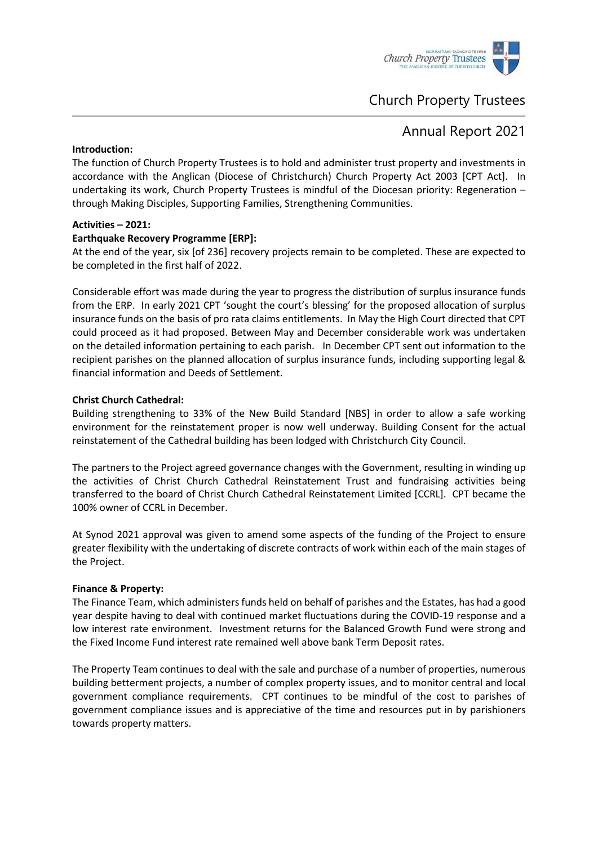

# Church Property Trustees

## Annual Report 2021

## **Introduction:**

The function of Church Property Trustees is to hold and administer trust property and investments in accordance with the Anglican (Diocese of Christchurch) Church Property Act 2003 [CPT Act]. In undertaking its work, Church Property Trustees is mindful of the Diocesan priority: Regeneration – through Making Disciples, Supporting Families, Strengthening Communities.

## **Activities – 2021:**

## **Earthquake Recovery Programme [ERP]:**

At the end of the year, six [of 236] recovery projects remain to be completed. These are expected to be completed in the first half of 2022.

Considerable effort was made during the year to progress the distribution of surplus insurance funds from the ERP. In early 2021 CPT 'sought the court's blessing' for the proposed allocation of surplus insurance funds on the basis of pro rata claims entitlements. In May the High Court directed that CPT could proceed as it had proposed. Between May and December considerable work was undertaken on the detailed information pertaining to each parish. In December CPT sent out information to the recipient parishes on the planned allocation of surplus insurance funds, including supporting legal & financial information and Deeds of Settlement.

## **Christ Church Cathedral:**

Building strengthening to 33% of the New Build Standard [NBS] in order to allow a safe working environment for the reinstatement proper is now well underway. Building Consent for the actual reinstatement of the Cathedral building has been lodged with Christchurch City Council.

The partners to the Project agreed governance changes with the Government, resulting in winding up the activities of Christ Church Cathedral Reinstatement Trust and fundraising activities being transferred to the board of Christ Church Cathedral Reinstatement Limited [CCRL]. CPT became the 100% owner of CCRL in December.

At Synod 2021 approval was given to amend some aspects of the funding of the Project to ensure greater flexibility with the undertaking of discrete contracts of work within each of the main stages of the Project.

#### **Finance & Property:**

The Finance Team, which administers funds held on behalf of parishes and the Estates, has had a good year despite having to deal with continued market fluctuations during the COVID-19 response and a low interest rate environment. Investment returns for the Balanced Growth Fund were strong and the Fixed Income Fund interest rate remained well above bank Term Deposit rates.

The Property Team continues to deal with the sale and purchase of a number of properties, numerous building betterment projects, a number of complex property issues, and to monitor central and local government compliance requirements. CPT continues to be mindful of the cost to parishes of government compliance issues and is appreciative of the time and resources put in by parishioners towards property matters.